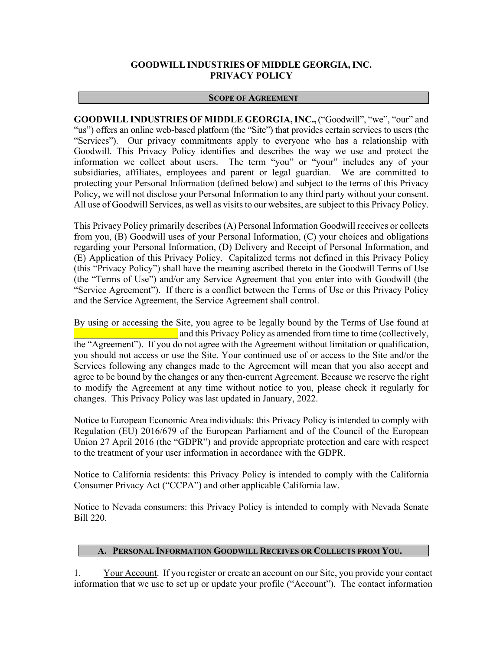# **GOODWILL INDUSTRIES OF MIDDLE GEORGIA, INC. PRIVACY POLICY**

### **SCOPE OF AGREEMENT**

**GOODWILL INDUSTRIES OF MIDDLE GEORGIA,INC.,** ("Goodwill", "we", "our" and "us") offers an online web-based platform (the "Site") that provides certain services to users (the "Services"). Our privacy commitments apply to everyone who has a relationship with Goodwill. This Privacy Policy identifies and describes the way we use and protect the information we collect about users. The term "you" or "your" includes any of your subsidiaries, affiliates, employees and parent or legal guardian. We are committed to protecting your Personal Information (defined below) and subject to the terms of this Privacy Policy, we will not disclose your Personal Information to any third party without your consent. All use of Goodwill Services, as well as visits to our websites, are subject to this Privacy Policy.

This Privacy Policy primarily describes (A) Personal Information Goodwill receives or collects from you, (B) Goodwill uses of your Personal Information, (C) your choices and obligations regarding your Personal Information, (D) Delivery and Receipt of Personal Information, and (E) Application of this Privacy Policy. Capitalized terms not defined in this Privacy Policy (this "Privacy Policy") shall have the meaning ascribed thereto in the Goodwill Terms of Use (the "Terms of Use") and/or any Service Agreement that you enter into with Goodwill (the "Service Agreement"). If there is a conflict between the Terms of Use or this Privacy Policy and the Service Agreement, the Service Agreement shall control.

By using or accessing the Site, you agree to be legally bound by the Terms of Use found at and this Privacy Policy as amended from time to time (collectively, the "Agreement"). If you do not agree with the Agreement without limitation or qualification, you should not access or use the Site. Your continued use of or access to the Site and/or the Services following any changes made to the Agreement will mean that you also accept and agree to be bound by the changes or any then-current Agreement. Because we reserve the right to modify the Agreement at any time without notice to you, please check it regularly for changes. This Privacy Policy was last updated in January, 2022.

Notice to European Economic Area individuals: this Privacy Policy is intended to comply with Regulation (EU) 2016/679 of the European Parliament and of the Council of the European Union 27 April 2016 (the "GDPR") and provide appropriate protection and care with respect to the treatment of your user information in accordance with the GDPR.

Notice to California residents: this Privacy Policy is intended to comply with the California Consumer Privacy Act ("CCPA") and other applicable California law.

Notice to Nevada consumers: this Privacy Policy is intended to comply with Nevada Senate Bill 220.

### **A. PERSONAL INFORMATION GOODWILL RECEIVES OR COLLECTS FROM YOU.**

1. Your Account.If you register or create an account on our Site, you provide your contact information that we use to set up or update your profile ("Account"). The contact information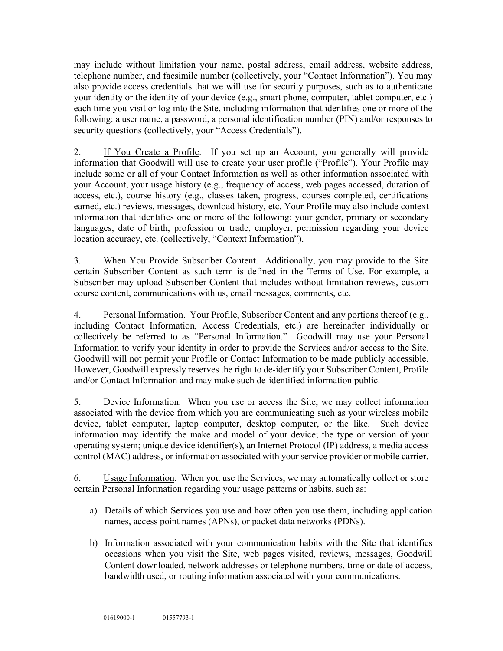may include without limitation your name, postal address, email address, website address, telephone number, and facsimile number (collectively, your "Contact Information"). You may also provide access credentials that we will use for security purposes, such as to authenticate your identity or the identity of your device (e.g., smart phone, computer, tablet computer, etc.) each time you visit or log into the Site, including information that identifies one or more of the following: a user name, a password, a personal identification number (PIN) and/or responses to security questions (collectively, your "Access Credentials").

2. If You Create a Profile. If you set up an Account, you generally will provide information that Goodwill will use to create your user profile ("Profile"). Your Profile may include some or all of your Contact Information as well as other information associated with your Account, your usage history (e.g., frequency of access, web pages accessed, duration of access, etc.), course history (e.g., classes taken, progress, courses completed, certifications earned, etc.) reviews, messages, download history, etc. Your Profile may also include context information that identifies one or more of the following: your gender, primary or secondary languages, date of birth, profession or trade, employer, permission regarding your device location accuracy, etc. (collectively, "Context Information").

3. When You Provide Subscriber Content. Additionally, you may provide to the Site certain Subscriber Content as such term is defined in the Terms of Use. For example, a Subscriber may upload Subscriber Content that includes without limitation reviews, custom course content, communications with us, email messages, comments, etc.

4. Personal Information. Your Profile, Subscriber Content and any portions thereof (e.g., including Contact Information, Access Credentials, etc.) are hereinafter individually or collectively be referred to as "Personal Information." Goodwill may use your Personal Information to verify your identity in order to provide the Services and/or access to the Site. Goodwill will not permit your Profile or Contact Information to be made publicly accessible. However, Goodwill expressly reserves the right to de-identify your Subscriber Content, Profile and/or Contact Information and may make such de-identified information public.

5. Device Information. When you use or access the Site, we may collect information associated with the device from which you are communicating such as your wireless mobile device, tablet computer, laptop computer, desktop computer, or the like. Such device information may identify the make and model of your device; the type or version of your operating system; unique device identifier(s), an Internet Protocol (IP) address, a media access control (MAC) address, or information associated with your service provider or mobile carrier.

6. Usage Information. When you use the Services, we may automatically collect or store certain Personal Information regarding your usage patterns or habits, such as:

- a) Details of which Services you use and how often you use them, including application names, access point names (APNs), or packet data networks (PDNs).
- b) Information associated with your communication habits with the Site that identifies occasions when you visit the Site, web pages visited, reviews, messages, Goodwill Content downloaded, network addresses or telephone numbers, time or date of access, bandwidth used, or routing information associated with your communications.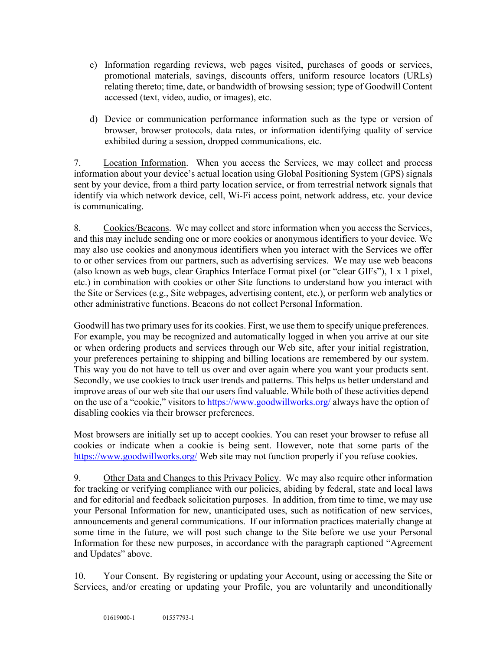- c) Information regarding reviews, web pages visited, purchases of goods or services, promotional materials, savings, discounts offers, uniform resource locators (URLs) relating thereto; time, date, or bandwidth of browsing session; type of Goodwill Content accessed (text, video, audio, or images), etc.
- d) Device or communication performance information such as the type or version of browser, browser protocols, data rates, or information identifying quality of service exhibited during a session, dropped communications, etc.

7. Location Information.When you access the Services, we may collect and process information about your device's actual location using Global Positioning System (GPS) signals sent by your device, from a third party location service, or from terrestrial network signals that identify via which network device, cell, Wi-Fi access point, network address, etc. your device is communicating.

8. Cookies/Beacons. We may collect and store information when you access the Services, and this may include sending one or more cookies or anonymous identifiers to your device. We may also use cookies and anonymous identifiers when you interact with the Services we offer to or other services from our partners, such as advertising services. We may use web beacons (also known as web bugs, clear Graphics Interface Format pixel (or "clear GIFs"), 1 x 1 pixel, etc.) in combination with cookies or other Site functions to understand how you interact with the Site or Services (e.g., Site webpages, advertising content, etc.), or perform web analytics or other administrative functions. Beacons do not collect Personal Information.

Goodwill has two primary uses for its cookies. First, we use them to specify unique preferences. For example, you may be recognized and automatically logged in when you arrive at our site or when ordering products and services through our Web site, after your initial registration, your preferences pertaining to shipping and billing locations are remembered by our system. This way you do not have to tell us over and over again where you want your products sent. Secondly, we use cookies to track user trends and patterns. This helps us better understand and improve areas of our web site that our users find valuable. While both of these activities depend on the use of a "cookie," visitors to https://www.goodwillworks.org/ always have the option of disabling cookies via their browser preferences.

Most browsers are initially set up to accept cookies. You can reset your browser to refuse all cookies or indicate when a cookie is being sent. However, note that some parts of the https://www.goodwillworks.org/ Web site may not function properly if you refuse cookies.

9. Other Data and Changes to this Privacy Policy. We may also require other information for tracking or verifying compliance with our policies, abiding by federal, state and local laws and for editorial and feedback solicitation purposes. In addition, from time to time, we may use your Personal Information for new, unanticipated uses, such as notification of new services, announcements and general communications. If our information practices materially change at some time in the future, we will post such change to the Site before we use your Personal Information for these new purposes, in accordance with the paragraph captioned "Agreement and Updates" above.

10. Your Consent.By registering or updating your Account, using or accessing the Site or Services, and/or creating or updating your Profile, you are voluntarily and unconditionally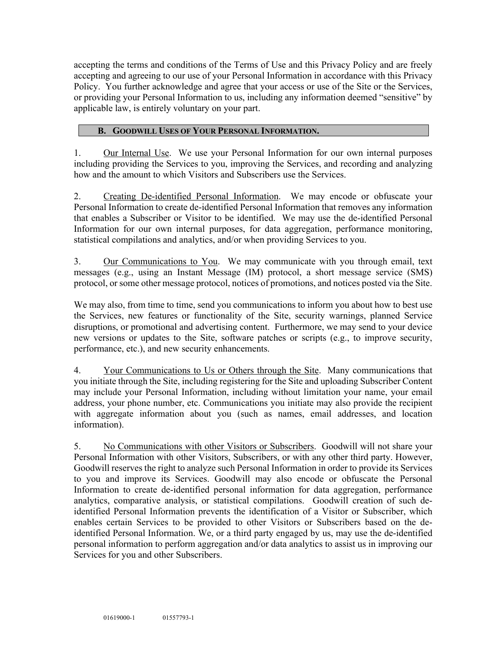accepting the terms and conditions of the Terms of Use and this Privacy Policy and are freely accepting and agreeing to our use of your Personal Information in accordance with this Privacy Policy. You further acknowledge and agree that your access or use of the Site or the Services, or providing your Personal Information to us, including any information deemed "sensitive" by applicable law, is entirely voluntary on your part.

## **B. GOODWILL USES OF YOUR PERSONAL INFORMATION.**

1. Our Internal Use.We use your Personal Information for our own internal purposes including providing the Services to you, improving the Services, and recording and analyzing how and the amount to which Visitors and Subscribers use the Services.

2. Creating De-identified Personal Information. We may encode or obfuscate your Personal Information to create de-identified Personal Information that removes any information that enables a Subscriber or Visitor to be identified. We may use the de-identified Personal Information for our own internal purposes, for data aggregation, performance monitoring, statistical compilations and analytics, and/or when providing Services to you.

3. Our Communications to You.We may communicate with you through email, text messages (e.g., using an Instant Message (IM) protocol, a short message service (SMS) protocol, or some other message protocol, notices of promotions, and notices posted via the Site.

We may also, from time to time, send you communications to inform you about how to best use the Services, new features or functionality of the Site, security warnings, planned Service disruptions, or promotional and advertising content. Furthermore, we may send to your device new versions or updates to the Site, software patches or scripts (e.g., to improve security, performance, etc.), and new security enhancements.

4. Your Communications to Us or Others through the Site. Many communications that you initiate through the Site, including registering for the Site and uploading Subscriber Content may include your Personal Information, including without limitation your name, your email address, your phone number, etc. Communications you initiate may also provide the recipient with aggregate information about you (such as names, email addresses, and location information).

5. No Communications with other Visitors or Subscribers. Goodwill will not share your Personal Information with other Visitors, Subscribers, or with any other third party. However, Goodwill reserves the right to analyze such Personal Information in order to provide its Services to you and improve its Services. Goodwill may also encode or obfuscate the Personal Information to create de-identified personal information for data aggregation, performance analytics, comparative analysis, or statistical compilations. Goodwill creation of such deidentified Personal Information prevents the identification of a Visitor or Subscriber, which enables certain Services to be provided to other Visitors or Subscribers based on the deidentified Personal Information. We, or a third party engaged by us, may use the de-identified personal information to perform aggregation and/or data analytics to assist us in improving our Services for you and other Subscribers.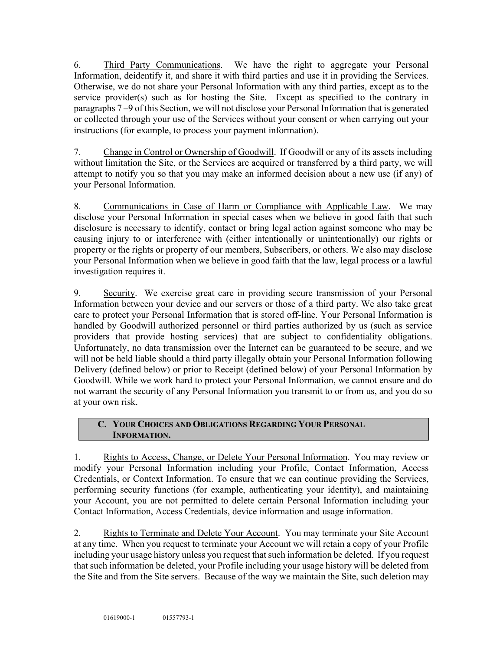6. Third Party Communications. We have the right to aggregate your Personal Information, deidentify it, and share it with third parties and use it in providing the Services. Otherwise, we do not share your Personal Information with any third parties, except as to the service provider(s) such as for hosting the Site. Except as specified to the contrary in paragraphs 7 –9 of this Section, we will not disclose your Personal Information that is generated or collected through your use of the Services without your consent or when carrying out your instructions (for example, to process your payment information).

7. Change in Control or Ownership of Goodwill. If Goodwill or any of its assets including without limitation the Site, or the Services are acquired or transferred by a third party, we will attempt to notify you so that you may make an informed decision about a new use (if any) of your Personal Information.

8. Communications in Case of Harm or Compliance with Applicable Law. We may disclose your Personal Information in special cases when we believe in good faith that such disclosure is necessary to identify, contact or bring legal action against someone who may be causing injury to or interference with (either intentionally or unintentionally) our rights or property or the rights or property of our members, Subscribers, or others. We also may disclose your Personal Information when we believe in good faith that the law, legal process or a lawful investigation requires it.

9. Security. We exercise great care in providing secure transmission of your Personal Information between your device and our servers or those of a third party. We also take great care to protect your Personal Information that is stored off-line. Your Personal Information is handled by Goodwill authorized personnel or third parties authorized by us (such as service providers that provide hosting services) that are subject to confidentiality obligations. Unfortunately, no data transmission over the Internet can be guaranteed to be secure, and we will not be held liable should a third party illegally obtain your Personal Information following Delivery (defined below) or prior to Receipt (defined below) of your Personal Information by Goodwill. While we work hard to protect your Personal Information, we cannot ensure and do not warrant the security of any Personal Information you transmit to or from us, and you do so at your own risk.

# **C. YOUR CHOICES AND OBLIGATIONS REGARDING YOUR PERSONAL INFORMATION.**

1. Rights to Access, Change, or Delete Your Personal Information.You may review or modify your Personal Information including your Profile, Contact Information, Access Credentials, or Context Information. To ensure that we can continue providing the Services, performing security functions (for example, authenticating your identity), and maintaining your Account, you are not permitted to delete certain Personal Information including your Contact Information, Access Credentials, device information and usage information.

2. Rights to Terminate and Delete Your Account.You may terminate your Site Account at any time. When you request to terminate your Account we will retain a copy of your Profile including your usage history unless you request that such information be deleted. If you request that such information be deleted, your Profile including your usage history will be deleted from the Site and from the Site servers. Because of the way we maintain the Site, such deletion may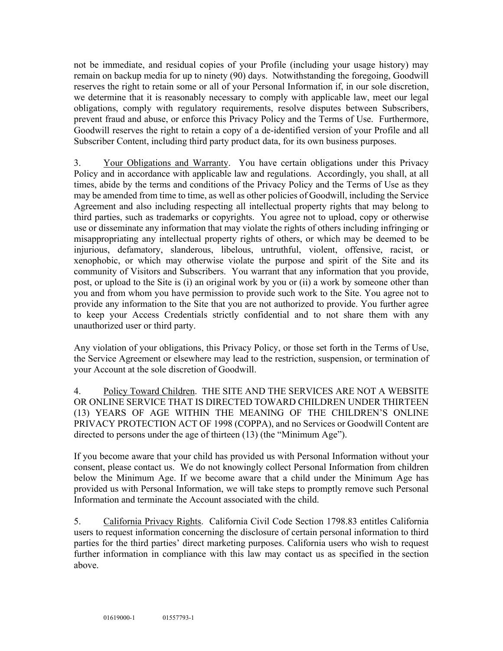not be immediate, and residual copies of your Profile (including your usage history) may remain on backup media for up to ninety (90) days. Notwithstanding the foregoing, Goodwill reserves the right to retain some or all of your Personal Information if, in our sole discretion, we determine that it is reasonably necessary to comply with applicable law, meet our legal obligations, comply with regulatory requirements, resolve disputes between Subscribers, prevent fraud and abuse, or enforce this Privacy Policy and the Terms of Use. Furthermore, Goodwill reserves the right to retain a copy of a de-identified version of your Profile and all Subscriber Content, including third party product data, for its own business purposes.

3. Your Obligations and Warranty.You have certain obligations under this Privacy Policy and in accordance with applicable law and regulations. Accordingly, you shall, at all times, abide by the terms and conditions of the Privacy Policy and the Terms of Use as they may be amended from time to time, as well as other policies of Goodwill, including the Service Agreement and also including respecting all intellectual property rights that may belong to third parties, such as trademarks or copyrights. You agree not to upload, copy or otherwise use or disseminate any information that may violate the rights of others including infringing or misappropriating any intellectual property rights of others, or which may be deemed to be injurious, defamatory, slanderous, libelous, untruthful, violent, offensive, racist, or xenophobic, or which may otherwise violate the purpose and spirit of the Site and its community of Visitors and Subscribers. You warrant that any information that you provide, post, or upload to the Site is (i) an original work by you or (ii) a work by someone other than you and from whom you have permission to provide such work to the Site. You agree not to provide any information to the Site that you are not authorized to provide. You further agree to keep your Access Credentials strictly confidential and to not share them with any unauthorized user or third party.

Any violation of your obligations, this Privacy Policy, or those set forth in the Terms of Use, the Service Agreement or elsewhere may lead to the restriction, suspension, or termination of your Account at the sole discretion of Goodwill.

4. Policy Toward Children.THE SITE AND THE SERVICES ARE NOT A WEBSITE OR ONLINE SERVICE THAT IS DIRECTED TOWARD CHILDREN UNDER THIRTEEN (13) YEARS OF AGE WITHIN THE MEANING OF THE CHILDREN'S ONLINE PRIVACY PROTECTION ACT OF 1998 (COPPA), and no Services or Goodwill Content are directed to persons under the age of thirteen (13) (the "Minimum Age").

If you become aware that your child has provided us with Personal Information without your consent, please contact us. We do not knowingly collect Personal Information from children below the Minimum Age. If we become aware that a child under the Minimum Age has provided us with Personal Information, we will take steps to promptly remove such Personal Information and terminate the Account associated with the child.

5. California Privacy Rights. California Civil Code Section 1798.83 entitles California users to request information concerning the disclosure of certain personal information to third parties for the third parties' direct marketing purposes. California users who wish to request further information in compliance with this law may contact us as specified in the section above.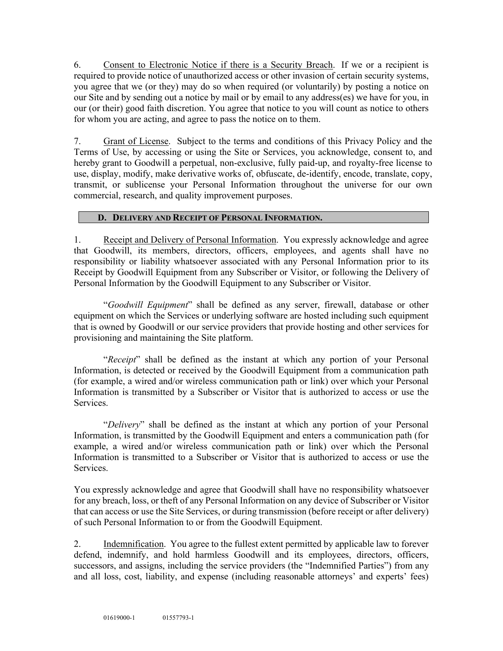6. Consent to Electronic Notice if there is a Security Breach. If we or a recipient is required to provide notice of unauthorized access or other invasion of certain security systems, you agree that we (or they) may do so when required (or voluntarily) by posting a notice on our Site and by sending out a notice by mail or by email to any address(es) we have for you, in our (or their) good faith discretion. You agree that notice to you will count as notice to others for whom you are acting, and agree to pass the notice on to them.

7. Grant of License.Subject to the terms and conditions of this Privacy Policy and the Terms of Use, by accessing or using the Site or Services, you acknowledge, consent to, and hereby grant to Goodwill a perpetual, non-exclusive, fully paid-up, and royalty-free license to use, display, modify, make derivative works of, obfuscate, de-identify, encode, translate, copy, transmit, or sublicense your Personal Information throughout the universe for our own commercial, research, and quality improvement purposes.

## **D. DELIVERY AND RECEIPT OF PERSONAL INFORMATION.**

1. Receipt and Delivery of Personal Information. You expressly acknowledge and agree that Goodwill, its members, directors, officers, employees, and agents shall have no responsibility or liability whatsoever associated with any Personal Information prior to its Receipt by Goodwill Equipment from any Subscriber or Visitor, or following the Delivery of Personal Information by the Goodwill Equipment to any Subscriber or Visitor.

"*Goodwill Equipment*" shall be defined as any server, firewall, database or other equipment on which the Services or underlying software are hosted including such equipment that is owned by Goodwill or our service providers that provide hosting and other services for provisioning and maintaining the Site platform.

"*Receipt*" shall be defined as the instant at which any portion of your Personal Information, is detected or received by the Goodwill Equipment from a communication path (for example, a wired and/or wireless communication path or link) over which your Personal Information is transmitted by a Subscriber or Visitor that is authorized to access or use the Services.

"*Delivery*" shall be defined as the instant at which any portion of your Personal Information, is transmitted by the Goodwill Equipment and enters a communication path (for example, a wired and/or wireless communication path or link) over which the Personal Information is transmitted to a Subscriber or Visitor that is authorized to access or use the Services.

You expressly acknowledge and agree that Goodwill shall have no responsibility whatsoever for any breach, loss, or theft of any Personal Information on any device of Subscriber or Visitor that can access or use the Site Services, or during transmission (before receipt or after delivery) of such Personal Information to or from the Goodwill Equipment.

2. Indemnification.You agree to the fullest extent permitted by applicable law to forever defend, indemnify, and hold harmless Goodwill and its employees, directors, officers, successors, and assigns, including the service providers (the "Indemnified Parties") from any and all loss, cost, liability, and expense (including reasonable attorneys' and experts' fees)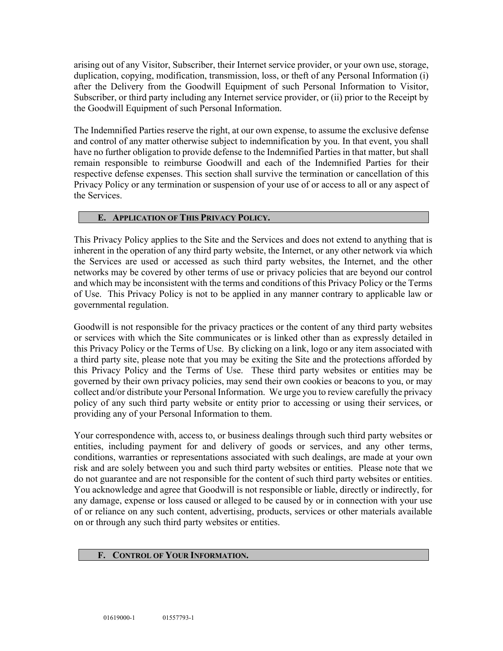arising out of any Visitor, Subscriber, their Internet service provider, or your own use, storage, duplication, copying, modification, transmission, loss, or theft of any Personal Information (i) after the Delivery from the Goodwill Equipment of such Personal Information to Visitor, Subscriber, or third party including any Internet service provider, or (ii) prior to the Receipt by the Goodwill Equipment of such Personal Information.

The Indemnified Parties reserve the right, at our own expense, to assume the exclusive defense and control of any matter otherwise subject to indemnification by you. In that event, you shall have no further obligation to provide defense to the Indemnified Parties in that matter, but shall remain responsible to reimburse Goodwill and each of the Indemnified Parties for their respective defense expenses. This section shall survive the termination or cancellation of this Privacy Policy or any termination or suspension of your use of or access to all or any aspect of the Services.

### **E. APPLICATION OF THIS PRIVACY POLICY.**

This Privacy Policy applies to the Site and the Services and does not extend to anything that is inherent in the operation of any third party website, the Internet, or any other network via which the Services are used or accessed as such third party websites, the Internet, and the other networks may be covered by other terms of use or privacy policies that are beyond our control and which may be inconsistent with the terms and conditions of this Privacy Policy or the Terms of Use. This Privacy Policy is not to be applied in any manner contrary to applicable law or governmental regulation.

Goodwill is not responsible for the privacy practices or the content of any third party websites or services with which the Site communicates or is linked other than as expressly detailed in this Privacy Policy or the Terms of Use. By clicking on a link, logo or any item associated with a third party site, please note that you may be exiting the Site and the protections afforded by this Privacy Policy and the Terms of Use. These third party websites or entities may be governed by their own privacy policies, may send their own cookies or beacons to you, or may collect and/or distribute your Personal Information. We urge you to review carefully the privacy policy of any such third party website or entity prior to accessing or using their services, or providing any of your Personal Information to them.

Your correspondence with, access to, or business dealings through such third party websites or entities, including payment for and delivery of goods or services, and any other terms, conditions, warranties or representations associated with such dealings, are made at your own risk and are solely between you and such third party websites or entities. Please note that we do not guarantee and are not responsible for the content of such third party websites or entities. You acknowledge and agree that Goodwill is not responsible or liable, directly or indirectly, for any damage, expense or loss caused or alleged to be caused by or in connection with your use of or reliance on any such content, advertising, products, services or other materials available on or through any such third party websites or entities.

#### **F. CONTROL OF YOUR INFORMATION.**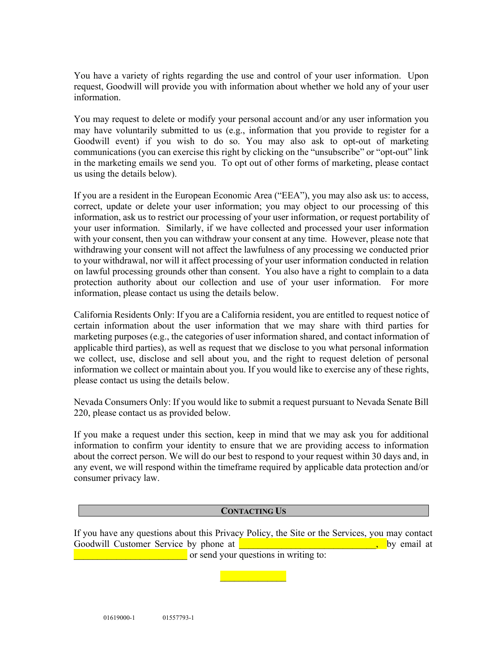You have a variety of rights regarding the use and control of your user information. Upon request, Goodwill will provide you with information about whether we hold any of your user information.

You may request to delete or modify your personal account and/or any user information you may have voluntarily submitted to us (e.g., information that you provide to register for a Goodwill event) if you wish to do so. You may also ask to opt-out of marketing communications (you can exercise this right by clicking on the "unsubscribe" or "opt-out" link in the marketing emails we send you. To opt out of other forms of marketing, please contact us using the details below).

If you are a resident in the European Economic Area ("EEA"), you may also ask us: to access, correct, update or delete your user information; you may object to our processing of this information, ask us to restrict our processing of your user information, or request portability of your user information. Similarly, if we have collected and processed your user information with your consent, then you can withdraw your consent at any time. However, please note that withdrawing your consent will not affect the lawfulness of any processing we conducted prior to your withdrawal, nor will it affect processing of your user information conducted in relation on lawful processing grounds other than consent. You also have a right to complain to a data protection authority about our collection and use of your user information. For more information, please contact us using the details below.

California Residents Only: If you are a California resident, you are entitled to request notice of certain information about the user information that we may share with third parties for marketing purposes (e.g., the categories of user information shared, and contact information of applicable third parties), as well as request that we disclose to you what personal information we collect, use, disclose and sell about you, and the right to request deletion of personal information we collect or maintain about you. If you would like to exercise any of these rights, please contact us using the details below.

Nevada Consumers Only: If you would like to submit a request pursuant to Nevada Senate Bill 220, please contact us as provided below.

If you make a request under this section, keep in mind that we may ask you for additional information to confirm your identity to ensure that we are providing access to information about the correct person. We will do our best to respond to your request within 30 days and, in any event, we will respond within the timeframe required by applicable data protection and/or consumer privacy law.

#### **CONTACTING US**

If you have any questions about this Privacy Policy, the Site or the Services, you may contact Goodwill Customer Service by phone at **Exercise 1986** and the service by phone at **Exercise** 2011 **Customer Service** by phone at **Exercise** 2012 **Customer Service** by phone at **Exercise** 2012 **Customer Service** 30 and 2013 or send your questions in writing to:

 $\mathcal{L}_\text{max}$  and  $\mathcal{L}_\text{max}$